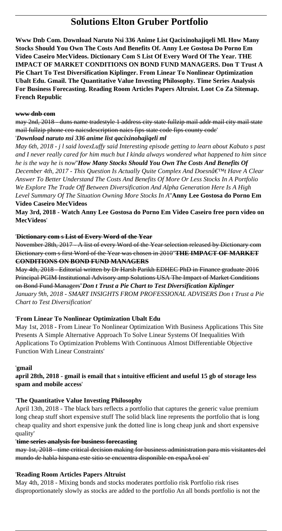# **Solutions Elton Gruber Portfolio**

**Www Dnb Com. Download Naruto Nsi 336 Anime List Qacixinohajiqeli Ml. How Many Stocks Should You Own The Costs And Benefits Of. Anny Lee Gostosa Do Porno Em Video Caseiro MecVideos. Dictionary Com S List Of Every Word Of The Year. THE IMPACT OF MARKET CONDITIONS ON BOND FUND MANAGERS. Don T Trust A Pie Chart To Test Diversification Kiplinger. From Linear To Nonlinear Optimization Ubalt Edu. Gmail. The Quantitative Value Investing Philosophy. Time Series Analysis For Business Forecasting. Reading Room Articles Papers Altruist. Loot Co Za Sitemap. French Republic**

#### **www dnb com**

may 2nd, 2018 - duns name tradestyle 1 address city state fullzip mail addr mail city mail state mail fullzip phone ceo naicsdescription naics fips state code fips county code'

'*Download naruto nsi 336 anime list qacixinohajiqeli ml May 6th, 2018 - j l said lovexLuffy said Interesting episode getting to learn about Kabuto s past*

*and I never really cared for him much but I kinda always wondered what happened to him since he is the way he is now*''*How Many Stocks Should You Own The Costs And Benefits Of December 4th, 2017 - This Question Is Actually Quite Complex And Doesn't Have A Clear Answer To Better Understand The Costs And Benefits Of More Or Less Stocks In A Portfolio We Explore The Trade Off Between Diversification And Alpha Generation Here Is A High Level Summary Of The Situation Owning More Stocks In A*''**Anny Lee Gostosa do Porno Em**

#### **Video Caseiro MecVideos**

**May 3rd, 2018 - Watch Anny Lee Gostosa do Porno Em Video Caseiro free porn video on MecVideos**'

## '**Dictionary com s List of Every Word of the Year**

November 28th, 2017 - A list of every Word of the Year selection released by Dictionary com Dictionary com s first Word of the Year was chosen in 2010''**THE IMPACT OF MARKET CONDITIONS ON BOND FUND MANAGERS**

May 4th, 2018 - Editorial written by Dr Harsh Parikh EDHEC PhD in Finance graduate 2016 Principal PGIM Institutional Advisory amp Solutions USA The Impact of Market Conditions on Bond Fund Managers''*Don t Trust a Pie Chart to Test Diversification Kiplinger January 9th, 2018 - SMART INSIGHTS FROM PROFESSIONAL ADVISERS Don t Trust a Pie Chart to Test Diversification*'

## '**From Linear To Nonlinear Optimization Ubalt Edu**

May 1st, 2018 - From Linear To Nonlinear Optimization With Business Applications This Site Presents A Simple Alternative Approach To Solve Linear Systems Of Inequalities With Applications To Optimization Problems With Continuous Almost Differentiable Objective Function With Linear Constraints'

## '**gmail**

**april 28th, 2018 - gmail is email that s intuitive efficient and useful 15 gb of storage less spam and mobile access**'

## '**The Quantitative Value Investing Philosophy**

April 13th, 2018 - The black bars reflects a portfolio that captures the generic value premium long cheap stuff short expensive stuff The solid black line represents the portfolio that is long cheap quality and short expensive junk the dotted line is long cheap junk and short expensive quality'

## '**time series analysis for business forecasting**

may 1st, 2018 - time critical decision making for business administration para mis visitantes del mundo de habla hispana este sitio se encuentra disponible en espa $\tilde{A} \pm o l$  en'

## '**Reading Room Articles Papers Altruist**

May 4th, 2018 - Mixing bonds and stocks moderates portfolio risk Portfolio risk rises disproportionately slowly as stocks are added to the portfolio An all bonds portfolio is not the